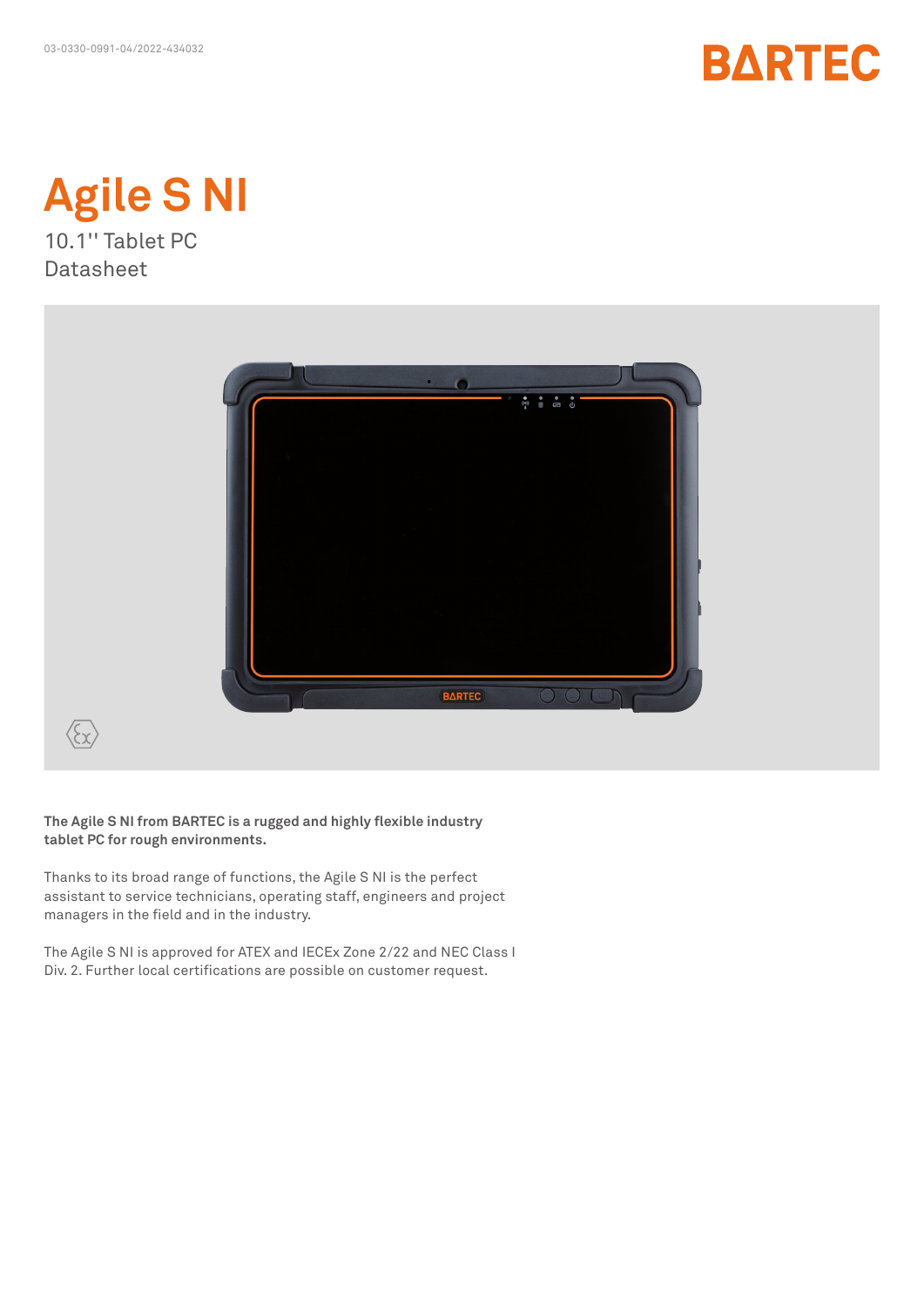



**Datasheet** 



**The Agile S NI from BARTEC is a rugged and highly flexible industry tablet PC for rough environments.**

Thanks to its broad range of functions, the Agile S NI is the perfect assistant to service technicians, operating staff, engineers and project managers in the field and in the industry.

The Agile S NI is approved for ATEX and IECEx Zone 2/22 and NEC Class I Div. 2. Further local certifications are possible on customer request.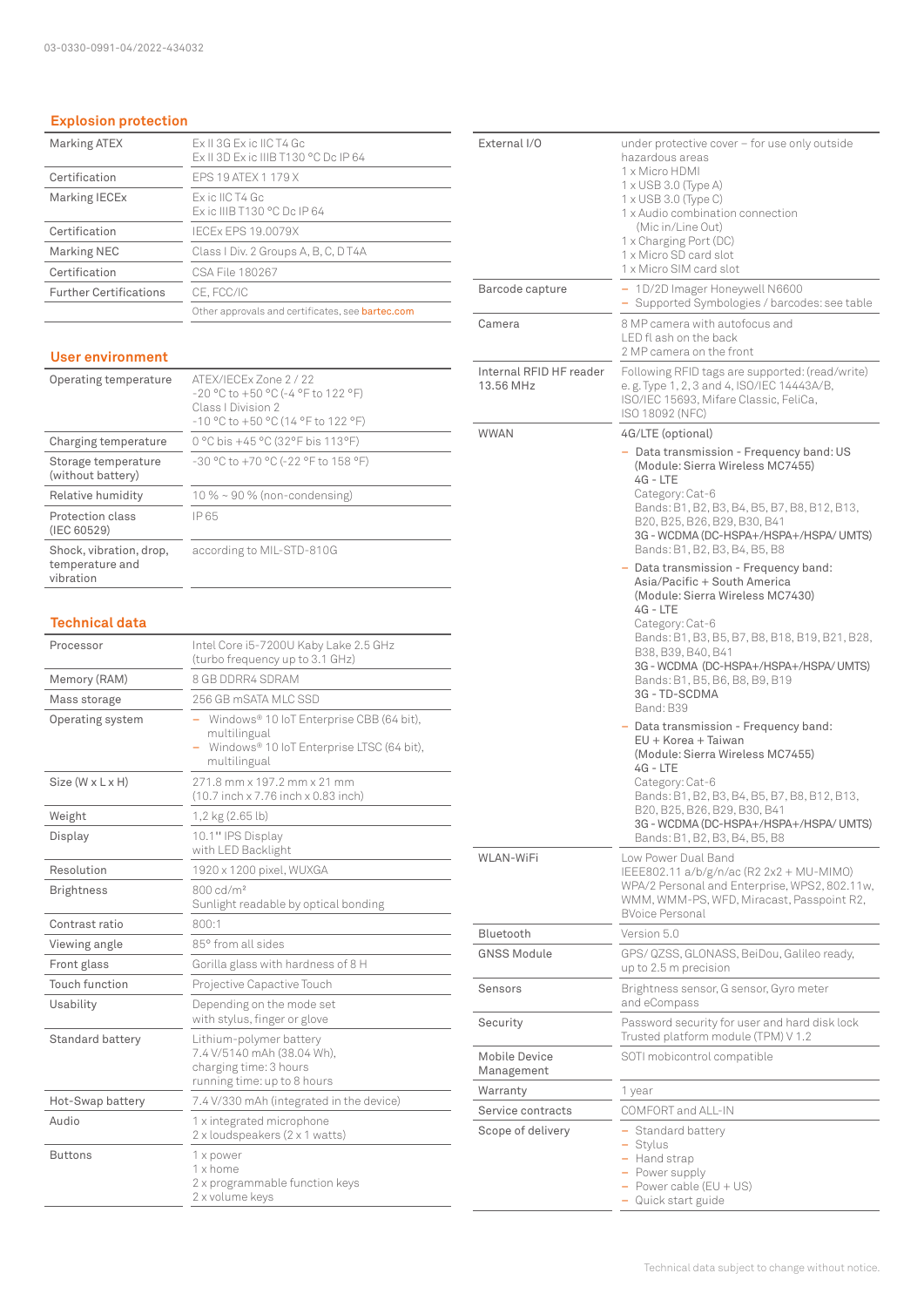# **Explosion protection**

| <b>Marking ATEX</b>           | Fx II 3G Fx ic IIC T4 Gc<br>Ex II 3D Ex ic IIIB T130 °C Dc IP 64 |
|-------------------------------|------------------------------------------------------------------|
| Certification                 | FPS 19 ATFX 1 179 X                                              |
| Marking IECEx                 | Ex ic IIC T4 Gc<br>Ex ic IIIB T130 °C Dc IP 64                   |
| Certification                 | IFCFx FPS 19.0079X                                               |
| <b>Marking NEC</b>            | Class I Div. 2 Groups A, B, C, D T4A                             |
| Certification                 | CSA File 180267                                                  |
| <b>Further Certifications</b> | CE, FCC/IC                                                       |
|                               | Other approvals and certificates, see <b>bartec.com</b>          |

### **User environment**

| Operating temperature                                   | ATFX/IFCFx7one2/22<br>-20 °C to +50 °C (-4 °F to 122 °F)<br>Class   Division 2<br>-10 °C to +50 °C (14 °F to 122 °F) |
|---------------------------------------------------------|----------------------------------------------------------------------------------------------------------------------|
| Charging temperature                                    | 0 °C bis +45 °C (32°F bis 113°F)                                                                                     |
| Storage temperature<br>(without battery)                | -30 °C to +70 °C (-22 °F to 158 °F)                                                                                  |
| Relative humidity                                       | $10\% \sim 90\%$ (non-condensing)                                                                                    |
| Protection class<br>(IEC 60529)                         | IP 65                                                                                                                |
| Shock, vibration, drop,<br>temperature and<br>vibration | according to MIL-STD-810G                                                                                            |

## **Technical data**

| Processor         | Intel Core i5-7200U Kaby Lake 2.5 GHz<br>(turbo frequency up to 3.1 GHz)                                              |  |  |
|-------------------|-----------------------------------------------------------------------------------------------------------------------|--|--|
| Memory (RAM)      | 8 GB DDRR4 SDRAM                                                                                                      |  |  |
| Mass storage      | 256 GB mSATA MLC SSD                                                                                                  |  |  |
| Operating system  | Windows® 10 IoT Enterprise CBB (64 bit),<br>multilingual<br>Windows® 10 IoT Enterprise LTSC (64 bit),<br>multilingual |  |  |
| Size (W x L x H)  | 271.8 mm x 197.2 mm x 21 mm<br>(10.7 inch x 7.76 inch x 0.83 inch)                                                    |  |  |
| Weight            | 1,2 kg (2.65 lb)                                                                                                      |  |  |
| Display           | 10.1" IPS Display<br>with LED Backlight                                                                               |  |  |
| Resolution        | 1920 x 1200 pixel, WUXGA                                                                                              |  |  |
| <b>Brightness</b> | 800 cd/m <sup>2</sup><br>Sunlight readable by optical bonding                                                         |  |  |
| Contrast ratio    | 800:1                                                                                                                 |  |  |
| Viewing angle     | 85° from all sides                                                                                                    |  |  |
| Front glass       | Gorilla glass with hardness of 8 H                                                                                    |  |  |
| Touch function    | Projective Capactive Touch                                                                                            |  |  |
| Usability         | Depending on the mode set<br>with stylus, finger or glove                                                             |  |  |
| Standard battery  | Lithium-polymer battery<br>7.4 V/5140 mAh (38.04 Wh),<br>charging time: 3 hours<br>running time: up to 8 hours        |  |  |
| Hot-Swap battery  | 7.4 V/330 mAh (integrated in the device)                                                                              |  |  |
| Audio             | 1 x integrated microphone<br>2 x loudspeakers (2 x 1 watts)                                                           |  |  |
| <b>Buttons</b>    | 1 x power<br>1 x home<br>2 x programmable function keys<br>2 x volume keys                                            |  |  |

| External I/O                         | under protective cover $-$ for use only outside<br>hazardous areas<br>1 x Micro HDMI<br>$1 \times$ USB 3.0 (Type A)<br>1 x USB 3.0 (Type C)<br>1 x Audio combination connection<br>(Mic in/Line Out)<br>1 x Charging Port (DC)<br>1 x Micro SD card slot<br>1 x Micro SIM card slot                                                                                                                                                                                                                                                                                                                                                                                                                                                                                                                                                                                                                                     |  |  |
|--------------------------------------|-------------------------------------------------------------------------------------------------------------------------------------------------------------------------------------------------------------------------------------------------------------------------------------------------------------------------------------------------------------------------------------------------------------------------------------------------------------------------------------------------------------------------------------------------------------------------------------------------------------------------------------------------------------------------------------------------------------------------------------------------------------------------------------------------------------------------------------------------------------------------------------------------------------------------|--|--|
| Barcode capture                      | 1D/2D Imager Honeywell N6600<br>- Supported Symbologies / barcodes: see table                                                                                                                                                                                                                                                                                                                                                                                                                                                                                                                                                                                                                                                                                                                                                                                                                                           |  |  |
| Camera                               | 8 MP camera with autofocus and<br>LED fl ash on the back<br>2 MP camera on the front                                                                                                                                                                                                                                                                                                                                                                                                                                                                                                                                                                                                                                                                                                                                                                                                                                    |  |  |
| Internal RFID HF reader<br>13.56 MHz | Following RFID tags are supported: (read/write)<br>e.g. Type 1, 2, 3 and 4, ISO/IEC 14443A/B,<br>ISO/IEC 15693, Mifare Classic, FeliCa,<br>ISO 18092 (NFC)                                                                                                                                                                                                                                                                                                                                                                                                                                                                                                                                                                                                                                                                                                                                                              |  |  |
| <b>WWAN</b>                          | 4G/LTE (optional)<br>- Data transmission - Frequency band: US<br>(Module: Sierra Wireless MC7455)<br>$4G - LTE$<br>Category: Cat-6<br>Bands: B1, B2, B3, B4, B5, B7, B8, B12, B13,<br>B20, B25, B26, B29, B30, B41<br>3G - WCDMA (DC-HSPA+/HSPA+/HSPA/ UMTS)<br>Bands: B1, B2, B3, B4, B5, B8<br>Data transmission - Frequency band:<br>Asia/Pacific + South America<br>(Module: Sierra Wireless MC7430)<br>4G - LTE<br>Category: Cat-6<br>Bands: B1, B3, B5, B7, B8, B18, B19, B21, B28,<br>B38, B39, B40, B41<br>3G - WCDMA (DC-HSPA+/HSPA+/HSPA/ UMTS)<br>Bands: B1, B5, B6, B8, B9, B19<br>3G - TD-SCDMA<br>Band: B39<br>- Data transmission - Frequency band:<br>EU + Korea + Taiwan<br>(Module: Sierra Wireless MC7455)<br>4G - LTE<br>Category: Cat-6<br>Bands: B1, B2, B3, B4, B5, B7, B8, B12, B13,<br>B20, B25, B26, B29, B30, B41<br>3G - WCDMA (DC-HSPA+/HSPA+/HSPA/ UMTS)<br>Bands: B1, B2, B3, B4, B5, B8 |  |  |
| <b>WLAN-WiFi</b>                     | Low Power Dual Band<br>IEEE802.11 a/b/g/n/ac (R2 2x2 + MU-MIMO)<br>WPA/2 Personal and Enterprise, WPS2, 802.11w,<br>WMM, WMM-PS, WFD, Miracast, Passpoint R2,<br><b>BVoice Personal</b>                                                                                                                                                                                                                                                                                                                                                                                                                                                                                                                                                                                                                                                                                                                                 |  |  |
| Bluetooth                            | Version 5.0                                                                                                                                                                                                                                                                                                                                                                                                                                                                                                                                                                                                                                                                                                                                                                                                                                                                                                             |  |  |
| <b>GNSS Module</b>                   | GPS/ QZSS, GLONASS, BeiDou, Galileo ready,<br>up to 2.5 m precision                                                                                                                                                                                                                                                                                                                                                                                                                                                                                                                                                                                                                                                                                                                                                                                                                                                     |  |  |
| Sensors                              | Brightness sensor, G sensor, Gyro meter<br>and eCompass                                                                                                                                                                                                                                                                                                                                                                                                                                                                                                                                                                                                                                                                                                                                                                                                                                                                 |  |  |
| Security                             | Password security for user and hard disk lock<br>Trusted platform module (TPM) V 1.2                                                                                                                                                                                                                                                                                                                                                                                                                                                                                                                                                                                                                                                                                                                                                                                                                                    |  |  |
| <b>Mobile Device</b><br>Management   | SOTI mobicontrol compatible                                                                                                                                                                                                                                                                                                                                                                                                                                                                                                                                                                                                                                                                                                                                                                                                                                                                                             |  |  |
| Warranty                             | 1 year                                                                                                                                                                                                                                                                                                                                                                                                                                                                                                                                                                                                                                                                                                                                                                                                                                                                                                                  |  |  |
| Service contracts                    | COMFORT and ALL-IN                                                                                                                                                                                                                                                                                                                                                                                                                                                                                                                                                                                                                                                                                                                                                                                                                                                                                                      |  |  |
| Scope of delivery                    | - Standard battery<br>- Stylus<br>- Hand strap<br>- Power supply<br>- Power cable $(EU + US)$<br>- Quick start guide                                                                                                                                                                                                                                                                                                                                                                                                                                                                                                                                                                                                                                                                                                                                                                                                    |  |  |